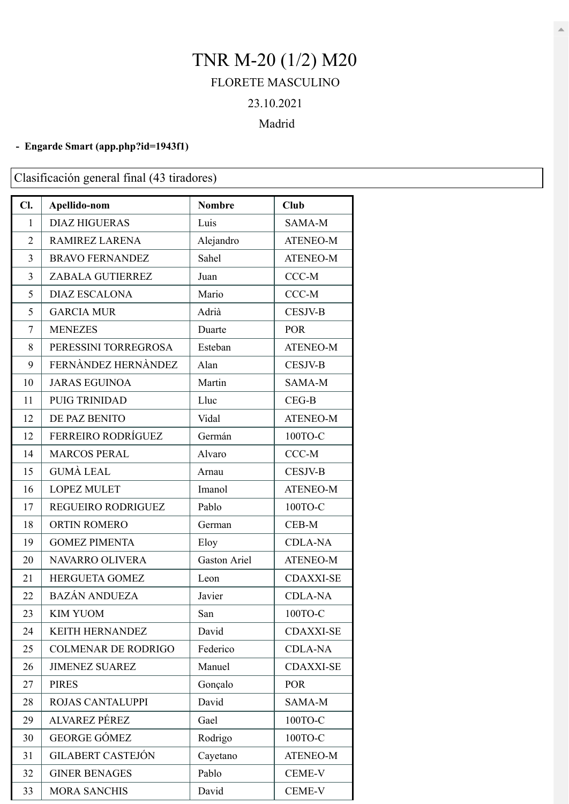## TNR M-20 (1/2) M20 FLORETE MASCULINO 23.10.2021

## Madrid

## **- Engarde Smart [\(app.php?id=1943f1\)](https://engarde-service.com/app.php?id=1943f1)**

Clasificación general final (43 tiradores)

| Cl.            | Apellido-nom               | <b>Nombre</b>       | <b>Club</b>      |
|----------------|----------------------------|---------------------|------------------|
| 1              | <b>DIAZ HIGUERAS</b>       | Luis                | SAMA-M           |
| 2              | <b>RAMIREZ LARENA</b>      | Alejandro           | <b>ATENEO-M</b>  |
| 3              | <b>BRAVO FERNANDEZ</b>     | Sahel               | <b>ATENEO-M</b>  |
| 3              | ZABALA GUTIERREZ           | Juan                | CCC-M            |
| 5              | <b>DIAZ ESCALONA</b>       | Mario               | CCC-M            |
| 5              | <b>GARCIA MUR</b>          | Adrià               | <b>CESJV-B</b>   |
| $\overline{7}$ | <b>MENEZES</b>             | Duarte              | <b>POR</b>       |
| 8              | PERESSINI TORREGROSA       | Esteban             | <b>ATENEO-M</b>  |
| 9              | FERNÀNDEZ HERNÀNDEZ        | Alan                | <b>CESJV-B</b>   |
| 10             | <b>JARAS EGUINOA</b>       | Martin              | SAMA-M           |
| 11             | <b>PUIG TRINIDAD</b>       | Lluc                | $CEG-B$          |
| 12             | DE PAZ BENITO              | Vidal               | ATENEO-M         |
| 12             | <b>FERREIRO RODRÍGUEZ</b>  | Germán              | 100TO-C          |
| 14             | <b>MARCOS PERAL</b>        | Alvaro              | $CCC-M$          |
| 15             | <b>GUMÀ LEAL</b>           | Arnau               | <b>CESJV-B</b>   |
| 16             | <b>LOPEZ MULET</b>         | Imanol              | <b>ATENEO-M</b>  |
| 17             | REGUEIRO RODRIGUEZ         | Pablo               | 100TO-C          |
| 18             | ORTIN ROMERO               | German              | CEB-M            |
| 19             | <b>GOMEZ PIMENTA</b>       | Eloy                | <b>CDLA-NA</b>   |
| 20             | NAVARRO OLIVERA            | <b>Gaston Ariel</b> | ATENEO-M         |
| 21             | HERGUETA GOMEZ             | Leon                | <b>CDAXXI-SE</b> |
| 22             | <b>BAZÁN ANDUEZA</b>       | Javier              | <b>CDLA-NA</b>   |
| 23             | <b>KIM YUOM</b>            | San                 | 100ТО-С          |
| 24             | <b>KEITH HERNANDEZ</b>     | David               | <b>CDAXXI-SE</b> |
| 25             | <b>COLMENAR DE RODRIGO</b> | Federico            | <b>CDLA-NA</b>   |
| 26             | <b>JIMENEZ SUAREZ</b>      | Manuel              | <b>CDAXXI-SE</b> |
| 27             | <b>PIRES</b>               | Gonçalo             | <b>POR</b>       |
| 28             | <b>ROJAS CANTALUPPI</b>    | David               | SAMA-M           |
| 29             | ALVAREZ PÉREZ              | Gael                | 100TO-C          |
| 30             | <b>GEORGE GÓMEZ</b>        | Rodrigo             | 100ТО-С          |
| 31             | <b>GILABERT CASTEJÓN</b>   | Cayetano            | <b>ATENEO-M</b>  |
| 32             | <b>GINER BENAGES</b>       | Pablo               | CEME-V           |
| 33             | <b>MORA SANCHIS</b>        | David               | CEME-V           |